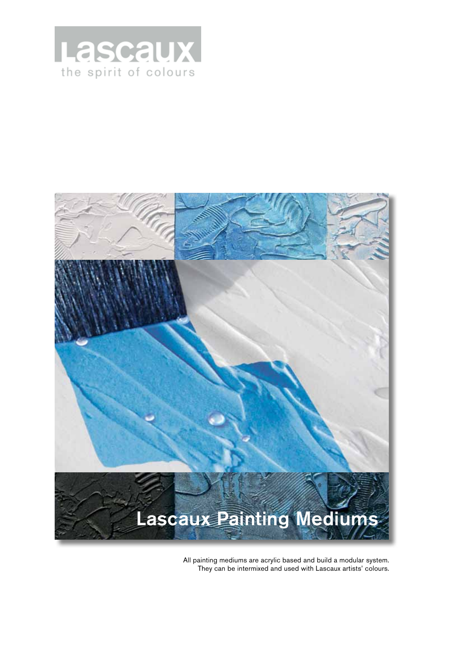



All painting mediums are acrylic based and build a modular system. They can be intermixed and used with Lascaux artists' colours.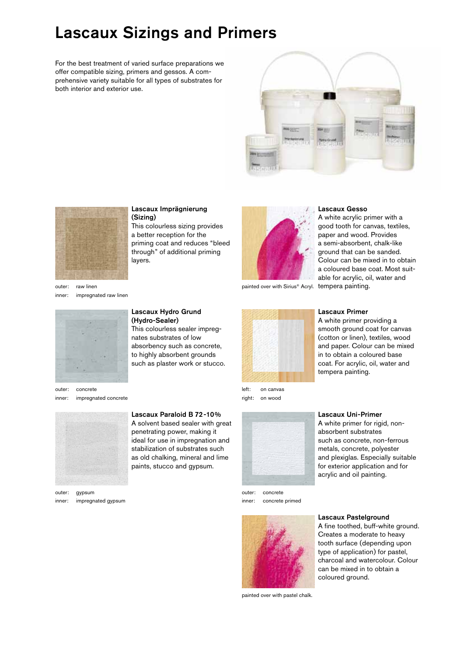# Lascaux Sizings and Primers

For the best treatment of varied surface preparations we offer compatible sizing, primers and gessos. A comprehensive variety suitable for all types of substrates for both interior and exterior use.





#### Lascaux Imprägnierung (Sizing)

This colourless sizing provides a better reception for the priming coat and reduces "bleed through" of additional priming layers.

outer: raw linen inner: impregnated raw linen



Lascaux Hydro Grund (Hydro-Sealer)

This colourless sealer impregnates substrates of low absorbency such as concrete, to highly absorbent grounds such as plaster work or stucco.

Lascaux Paraloid B 72-10% A solvent based sealer with great penetrating power, making it ideal for use in impregnation and stabilization of substrates such as old chalking, mineral and lime paints, stucco and gypsum.

outer: concrete inner: impregnated concrete



outer: gypsum inner: impregnated gypsum

left: on canvas right: on wood



outer: concrete inner: concrete primed



painted over with pastel chalk.

#### Lascaux Gesso

painted over with Sirius® Acryl. tempera painting. A white acrylic primer with a good tooth for canvas, textiles, paper and wood. Provides a semi-absorbent, chalk-like ground that can be sanded. Colour can be mixed in to obtain a coloured base coat. Most suitable for acrylic, oil, water and



### Lascaux Primer

A white primer providing a smooth ground coat for canvas (cotton or linen), textiles, wood and paper. Colour can be mixed in to obtain a coloured base coat. For acrylic, oil, water and tempera painting.



Lascaux Uni-Primer A white primer for rigid, non-

absorbent substrates such as concrete, non-ferrous metals, concrete, polyester and plexiglas. Especially suitable for exterior application and for acrylic and oil painting.



Lascaux Pastelground

A fine toothed, buff-white ground. Creates a moderate to heavy tooth surface (depending upon type of application) for pastel, charcoal and watercolour. Colour can be mixed in to obtain a coloured ground.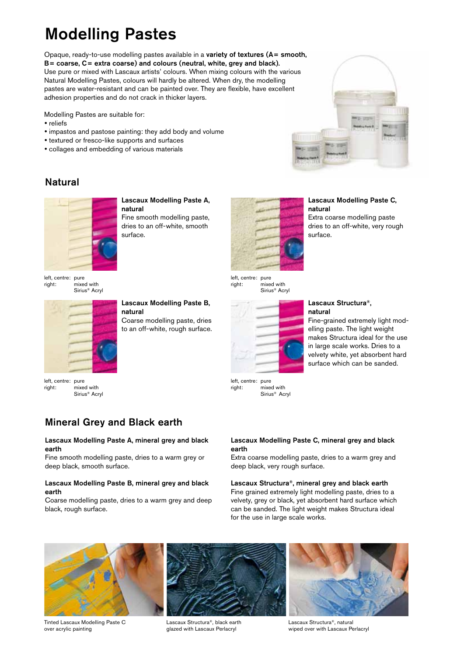# Modelling Pastes

Opaque, ready-to-use modelling pastes available in a variety of textures (A= smooth, B= coarse, C= extra coarse) and colours (neutral, white, grey and black). Use pure or mixed with Lascaux artists' colours. When mixing colours with the various Natural Modelling Pastes, colours will hardly be altered. When dry, the modelling pastes are water-resistant and can be painted over. They are flexible, have excellent adhesion properties and do not crack in thicker layers.

Modelling Pastes are suitable for:

- reliefs
- y impastos and pastose painting: they add body and volume

surface.

- textured or fresco-like supports and surfaces
- collages and embedding of various materials



### Natural



Lascaux Modelling Paste A, natural Fine smooth modelling paste, dries to an off-white, smooth



mixed with Sirius® Acryl

### Lascaux Modelling Paste C, natural

Extra coarse modelling paste dries to an off-white, very rough surface.

left, centre: pure<br>right: mixe .<br>mixed with Sirius® Acryl



Lascaux Modelling Paste B, natural Coarse modelling paste, dries to an off-white, rough surface.



Sirius® Acryl

right: mixed with

#### Lascaux Structura®, natural

Fine-grained extremely light modelling paste. The light weight makes Structura ideal for the use in large scale works. Dries to a velvety white, yet absorbent hard surface which can be sanded.

left, centre: pure right: mixed with Sirius® Acryl

### Mineral Grey and Black earth

#### Lascaux Modelling Paste A, mineral grey and black earth

Fine smooth modelling paste, dries to a warm grey or deep black, smooth surface.

### Lascaux Modelling Paste B, mineral grey and black earth

Coarse modelling paste, dries to a warm grey and deep black, rough surface.

#### Lascaux Modelling Paste C, mineral grey and black earth

Extra coarse modelling paste, dries to a warm grey and deep black, very rough surface.

Lascaux Structura®, mineral grey and black earth Fine grained extremely light modelling paste, dries to a velvety, grey or black, yet absorbent hard surface which can be sanded. The light weight makes Structura ideal for the use in large scale works.



Tinted Lascaux Modelling Paste C over acrylic painting

Lascaux Structura®, black earth glazed with Lascaux Perlacryl

Lascaux Structura®, natural wiped over with Lascaux Perlacryl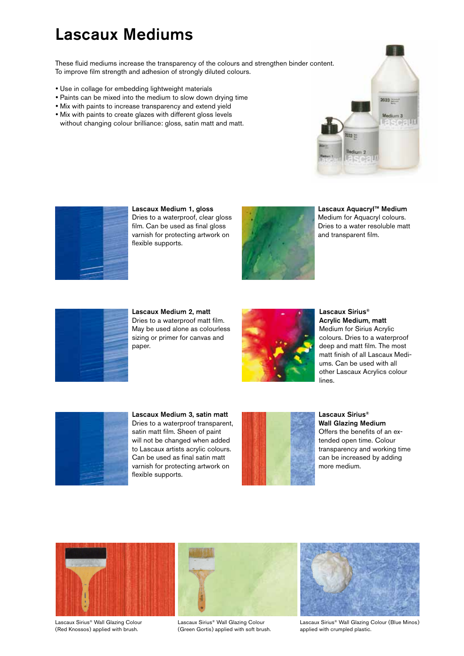## Lascaux Mediums

These fluid mediums increase the transparency of the colours and strengthen binder content. To improve film strength and adhesion of strongly diluted colours.

- Use in collage for embedding lightweight materials
- Paints can be mixed into the medium to slow down drying time
- Mix with paints to increase transparency and extend yield
- Mix with paints to create glazes with different gloss levels without changing colour brilliance: gloss, satin matt and matt.





Lascaux Medium 1, gloss Dries to a waterproof, clear gloss film. Can be used as final gloss varnish for protecting artwork on flexible supports.



Lascaux Aquacryl™ Medium Medium for Aquacryl colours. Dries to a water resoluble matt and transparent film.



Lascaux Medium 2, matt Dries to a waterproof matt film. May be used alone as colourless sizing or primer for canvas and paper.



Lascaux Sirius® Acrylic Medium, matt Medium for Sirius Acrylic colours. Dries to a waterproof deep and matt film. The most matt finish of all Lascaux Mediums. Can be used with all other Lascaux Acrylics colour lines.



Lascaux Medium 3, satin matt Dries to a waterproof transparent, satin matt film. Sheen of paint will not be changed when added to Lascaux artists acrylic colours. Can be used as final satin matt varnish for protecting artwork on flexible supports.



Lascaux Sirius® Wall Glazing Medium Offers the benefits of an extended open time. Colour transparency and working time can be increased by adding more medium.



Lascaux Sirius® Wall Glazing Colour (Red Knossos) applied with brush.

Lascaux Sirius® Wall Glazing Colour (Green Gortis) applied with soft brush.



Lascaux Sirius® Wall Glazing Colour (Blue Minos) applied with crumpled plastic.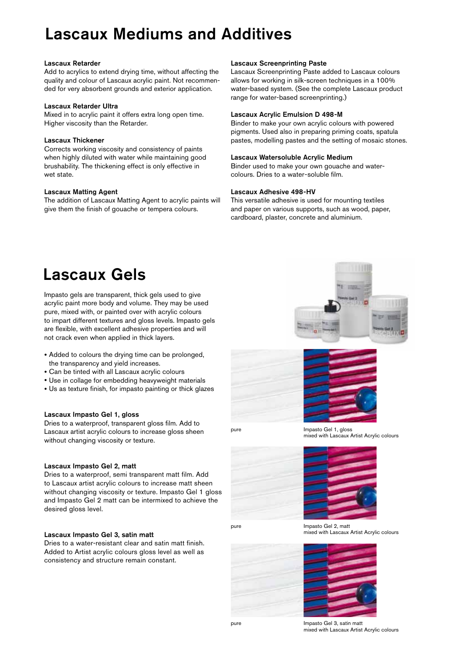# Lascaux Mediums and Additives

#### Lascaux Retarder

Add to acrylics to extend drying time, without affecting the quality and colour of Lascaux acrylic paint. Not recommended for very absorbent grounds and exterior application.

#### Lascaux Retarder Ultra

Mixed in to acrylic paint it offers extra long open time. Higher viscosity than the Retarder.

#### Lascaux Thickener

Corrects working viscosity and consistency of paints when highly diluted with water while maintaining good brushability. The thickening effect is only effective in wet state.

#### Lascaux Matting Agent

The addition of Lascaux Matting Agent to acrylic paints will give them the finish of gouache or tempera colours.

#### Lascaux Screenprinting Paste

Lascaux Screenprinting Paste added to Lascaux colours allows for working in silk-screen techniques in a 100% water-based system. (See the complete Lascaux product range for water-based screenprinting.)

### Lascaux Acrylic Emulsion D 498-M

Binder to make your own acrylic colours with powered pigments. Used also in preparing priming coats, spatula pastes, modelling pastes and the setting of mosaic stones.

#### Lascaux Watersoluble Acrylic Medium

Binder used to make your own gouache and watercolours. Dries to a water-soluble film.

#### Lascaux Adhesive 498-HV

This versatile adhesive is used for mounting textiles and paper on various supports, such as wood, paper, cardboard, plaster, concrete and aluminium.

# Lascaux Gels

Impasto gels are transparent, thick gels used to give acrylic paint more body and volume. They may be used pure, mixed with, or painted over with acrylic colours to impart different textures and gloss levels. Impasto gels are flexible, with excellent adhesive properties and will not crack even when applied in thick layers.

- Added to colours the drying time can be prolonged. the transparency and yield increases.
- Can be tinted with all Lascaux acrylic colours
- Use in collage for embedding heavyweight materials
- Us as texture finish, for impasto painting or thick glazes

#### Lascaux Impasto Gel 1, gloss

Dries to a waterproof, transparent gloss film. Add to Lascaux artist acrylic colours to increase gloss sheen without changing viscosity or texture.

#### Lascaux Impasto Gel 2, matt

Dries to a waterproof, semi transparent matt film. Add to Lascaux artist acrylic colours to increase matt sheen without changing viscosity or texture. Impasto Gel 1 gloss and Impasto Gel 2 matt can be intermixed to achieve the desired gloss level.

#### Lascaux Impasto Gel 3, satin matt

Dries to a water-resistant clear and satin matt finish. Added to Artist acrylic colours gloss level as well as consistency and structure remain constant.





pure **Impasto Gel 1, gloss** mixed with Lascaux Artist Acrylic colours





pure Impasto Gel 2, matt mixed with Lascaux Artist Acrylic colours





mixed with Lascaux Artist Acrylic colours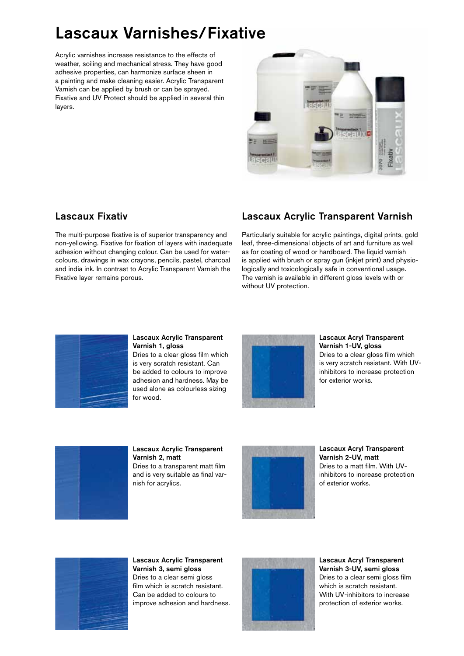# Lascaux Varnishes/Fixative

Acrylic varnishes increase resistance to the effects of weather, soiling and mechanical stress. They have good adhesive properties, can harmonize surface sheen in a painting and make cleaning easier. Acrylic Transparent Varnish can be applied by brush or can be sprayed. Fixative and UV Protect should be applied in several thin layers.



### Lascaux Fixativ

The multi-purpose fixative is of superior transparency and non-yellowing. Fixative for fixation of layers with inadequate adhesion without changing colour. Can be used for watercolours, drawings in wax crayons, pencils, pastel, charcoal and india ink. In contrast to Acrylic Transparent Varnish the Fixative layer remains porous.

### Lascaux Acrylic Transparent Varnish

Particularly suitable for acrylic paintings, digital prints, gold leaf, three-dimensional objects of art and furniture as well as for coating of wood or hardboard. The liquid varnish is applied with brush or spray gun (inkjet print) and physiologically and toxicologically safe in conventional usage. The varnish is available in different gloss levels with or without UV protection.



#### Lascaux Acrylic Transparent Varnish 1, gloss

Dries to a clear gloss film which is very scratch resistant. Can be added to colours to improve adhesion and hardness. May be used alone as colourless sizing for wood.



#### Lascaux Acryl Transparent Varnish 1-UV, gloss

Dries to a clear gloss film which is very scratch resistant. With UVinhibitors to increase protection for exterior works.



Lascaux Acrylic Transparent Varnish 2, matt Dries to a transparent matt film and is very suitable as final varnish for acrylics.



Lascaux Acryl Transparent Varnish 2-UV, matt Dries to a matt film. With UVinhibitors to increase protection of exterior works.



Lascaux Acrylic Transparent Varnish 3, semi gloss Dries to a clear semi gloss film which is scratch resistant. Can be added to colours to improve adhesion and hardness.



Lascaux Acryl Transparent Varnish 3-UV, semi gloss Dries to a clear semi gloss film which is scratch resistant. With UV-inhibitors to increase protection of exterior works.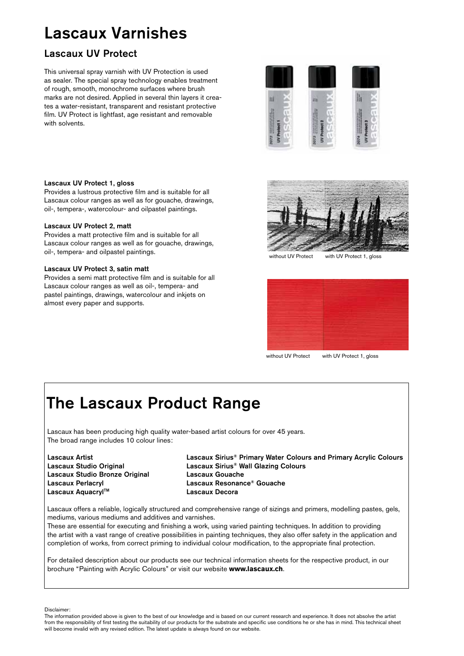# Lascaux Varnishes

### Lascaux UV Protect

This universal spray varnish with UV Protection is used as sealer. The special spray technology enables treatment of rough, smooth, monochrome surfaces where brush marks are not desired. Applied in several thin layers it creates a water-resistant, transparent and resistant protective film. UV Protect is lightfast, age resistant and removable with solvents.



#### Lascaux UV Protect 1, gloss

Provides a lustrous protective film and is suitable for all Lascaux colour ranges as well as for gouache, drawings, oil-, tempera-, watercolour- and oilpastel paintings.

#### Lascaux UV Protect 2, matt

Provides a matt protective film and is suitable for all Lascaux colour ranges as well as for gouache, drawings, oil-, tempera- and oilpastel paintings.

#### Lascaux UV Protect 3, satin matt

Provides a semi matt protective film and is suitable for all Lascaux colour ranges as well as oil-, tempera- and pastel paintings, drawings, watercolour and inkjets on almost every paper and supports.



without UV Protect with UV Protect 1, gloss



without UV Protect with UV Protect 1, gloss

# The Lascaux Product Range

Lascaux has been producing high quality water-based artist colours for over 45 years. The broad range includes 10 colour lines:

| Lascaux Artist                 |
|--------------------------------|
| Lascaux Studio Original        |
| Lascaux Studio Bronze Original |
| Lascaux Perlacryl              |
| Lascaux Aquacryl™              |

Lascaux Sirius® Primary Water Colours and Primary Acrylic Colours Lascaux Sirius® Wall Glazing Colours Lascaux Gouache Lascaux Resonance® Gouache Lascaux Decora

Lascaux offers a reliable, logically structured and comprehensive range of sizings and primers, modelling pastes, gels, mediums, various mediums and additives and varnishes.

These are essential for executing and finishing a work, using varied painting techniques. In addition to providing the artist with a vast range of creative possibilities in painting techniques, they also offer safety in the application and completion of works, from correct priming to individual colour modification, to the appropriate final protection.

For detailed description about our products see our technical information sheets for the respective product, in our brochure "Painting with Acrylic Colours" or visit our website **www.lascaux.ch**.

Disclaimer:

The information provided above is given to the best of our knowledge and is based on our current research and experience. It does not absolve the artist from the responsibility of first testing the suitability of our products for the substrate and specific use conditions he or she has in mind. This technical sheet will become invalid with any revised edition. The latest update is always found on our website.